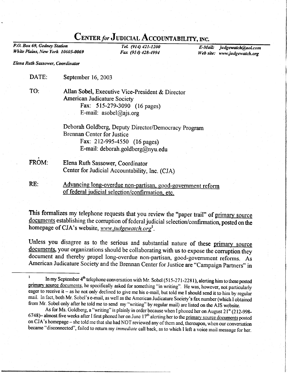## P.O. Box 69, Gedney Station TeL (914) 421-1200 E-Mail: judgewatch@aol.com Fax (914) 428-4994 Web site: www.judgewatch.org Elena Ruth Sassower, Coordinator DATE: September 16, 2003 TO: Allan Sobel, Executive Vice-President & Director American Judicature Society Fax: 515-279-3090 (16 pages) E-mail: asobel@ajs.org Deborah Goldberg, Deputy Director/Democracy program Brennan Center for Justice Fax: 212-995-4550 (16 pages) E-mail: deborah.goldberg@nyu.edu FROM: Elena Ruth Sassower, Coordinator Center for Judicial Accountability, Inc. (CJA) RE: Advancing long-overdue non-partisan, good-government reform of federal judicial selection/confirmation, etc.

This formalizes my telephone requests that you review the "paper trail" of primary source documents establishing the corruption of federal judicial selection/confirmation, posted on the homepage of CJA's website, www.judgewatch.org<sup>1</sup>.

Unless you disagree as to the serious and substantial nature of these primary source documents, your organizations should be collaborating with us to expose the corruption they document and thereby propel long-overdue non-partisan, good-government reforms. As American Judicature Society and the Brennan Center for Justice are "Campaign Partners" in

## CENTER for JUDICIAL ACCOUNTABILITY, INC.

White Plains, New York 10605-0069

<sup>&</sup>lt;sup>1</sup> In my September 4<sup>th</sup> telephone conversation with Mr. Sobel (515-271-2281), alerting him to these posted primary source documents, he specifically asked for something "in writing". He was, however, not particularly eager to receive it - as he not only declined to give me his e-mail, but told me I should send it to him by regular mail. In fact, both Mr. Sobel's e-mail, as well as the American Judicature Society's fax number (which I obtained from Mr. Sobel only after he told me to send my "writing" by regular mail) are listed on the AJS website.

As for Ms. Goldberg, a "writing" is plainly in order because when I phoned her on August 21<sup>st</sup> (212-998-6748) almost five weeks after I first phoned her on June  $17<sup>th</sup>$  alerting her to the primary source documents posted on CJA's homepage – she told me that she had NOT reviewed any of them and, thereupon, when our conversation became "disconnected", failed to return my *immediate* call back, as to which I left a voice mail message for her.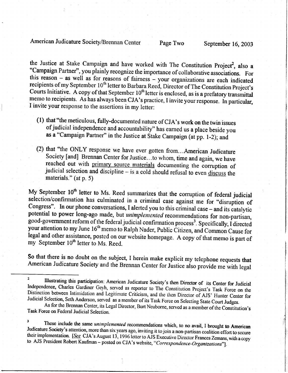American Judicature Society/Brennan Center Page Two September 16, 2003

the Justice at Stake Campaign and have worked with The Constitution Project<sup>2</sup>, also a "Campaign Partner", you plainly recognize the importance of collaborative associations. For this reason – as well as for reasons of fairness – your organizations are each indicated recipients of my September  $10^{th}$  letter to Barbara Reed, Director of The Constitution Project's Courts Initiative. A copy of that September  $10^{th}$  letter is enclosed, as is a prefatory transmittal memo to recipients. As has always been CJA's practice, I invite your response. In particular, I invite your response to the assertions in my letter: I

- (l) that "the meticulous, fully-documented nature of CJA's work on the twin issues of judicial independence and accountability" has earned us a place beside you as a "Campaign Partner" in the Justice at Stake Campaign (at pp. 1-2); and
- (2) that "the ONLY response we have ever gotten from...American Judicature Society [and] Brennan Center for Justice...to whom, time and again, we have reached out with primary source materials documenting the corruption of judicial selection and discipline – is a cold should refusal to even discuss the materials." (at  $p$ . 5)

My September  $10^{th}$  letter to Ms. Reed summarizes that the corruption of federal judicial selection/confirmation has culminated in a criminal case against me for "disruption of Congress". In our phone conversations, I alerted you to this criminal case – and its catalytic potential to power long-ago made, but *unimplemented* recommendations for non-partisan, good-government reform of the federal legal and other assistance, posted on our website homepage. A copy of that memo is part of my September  $10^{th}$  letter to Ms. Reed.

So that there is no doubt on the subject, I herein make explicit my telephone requests that American Judicature Society and the Brennan Center for Justice also provide me with legal

<sup>3</sup> These include the same *unimplemented* recommendations which, to no avail, I brought to American Judicature Society's attention, more than six years ago, inviting it to join a non-partisan coalition effort to secure th

<sup>&</sup>lt;sup>2</sup><br>Illustrating this participation: American Judicature Society's then Director of its Center for Judicial<br>Independence, Charles Gardiner Geyh, served as reporter to The Constitution Project's Task Force on the<br>Distinctio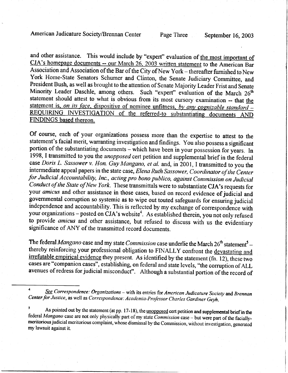and other assistance. This would include by "expert" evaluation of the most important of CJA's homepage documents -- our March 26, 2003 written statement to the American Bar Association and Association of the Bar of the City of New York - thereafter furnished to New York Home-State Senators Schumer and Clinton, the Senate Judiciary Committee, and President Bush, as well as brought to the attention of Senate Majority Leader Frist and Senate Minority Leader Daschle, among others. Such "expert" evaluation of the March 26<sup>th</sup> statement should attest to what is obvious from its most cursory examination -- that the statement is, on its face, dispositive of nominee unfitness, by any cognizable standard – REQUIRING INVESTIGATION of the referred-to substantiating documents AND FINDINGS based thereon.

Of course, each of your organizations possess more than the expertise to attest to the statement's facial merit, warranting investigation and findings. You also possess a significant portion of the substantiating documents - which have been in your possession for years. In 1998, I transmitted to you the *unopposed* cert petition and supplemental brief in the federal case Doris L. Sassower v. Hon. Guy Mangano, et al. and, in 2001, I transmitted to you the intermediate appeal papers in the state case, Elena Ruth Sassower, Coordinator of the Center for Judicial Accountability, Inc., acting pro bono publico, against commission on Judicial Conduct of the State of New York. These transmittals were to substantiate CJA's requests for your amicus and other assistance in those cases, based on record evidence of judicial and governmental corruption so systemic as to wipe out touted safeguards for ensuring judicial independence and accountability. This is reflected by my exchange of correspondence with your organizations - posted on CJA's website<sup>4</sup>. As established therein, you not only refused to provide *amicus* and other assistance, but refused to discuss with us the evidentiary significance of ANY of the transmitted record documents.

The federal *Mangano* case and my state *Commission* case underlie the March  $26<sup>th</sup>$  statement<sup>5</sup> – thereby reinforcing your professional obligation to FINALLY confront the <u>devastating and</u> irrefutable empirical evidence they present. As identified by the statement (fn. 12), these two cases are "companion cases", establishing, on federal and state levels, "the corruption of ALL avenues of redress for judicial misconduct". Although a substantial portion of the record of

 $\ddot{\mathbf{4}}$  $\frac{See}{See}$  Correspondence: Organizations – with its entries for American Judicature Society and Brennan Center for Justice, as well as Correspondence: Academia-Professor Charles Gardiner Geyh.

<sup>5</sup> As pointed out by the statement (at pp. 17-18), the <u>unopposed</u> cert petition and supplemental brief in the federal *Mangano* case are not only physically part of my state *Commission* case – but were part of the facial meritorious judicial meritorious complaint, whose dismissal by the Commission, without investigation, generated my lawsuit against it.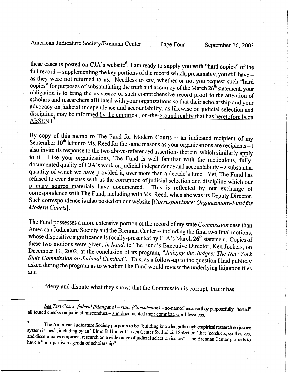## American Judicature Society/Brennan Center Page Four September 16, 2003

these cases is posted on CJA's website<sup>6</sup>, I am ready to supply you with "hard copies" of the full record -- supplementing the key portions of the record which, presumably, you still have -as they were not returned to us. Needless to say, whether or not you request such "hard copies" for purposes of substantiating the truth and accuracy of the March  $26<sup>th</sup>$  statement, your obligation is to bring the existence of such comprehensive record proof to the attention of scholars and researchers affiliated with your organizations so that their scholarship and your advocacy on judicial independence and accountability, as likewise on judicial selection and discipline, may be informed by the empirical, on-the-ground reality that has heretofore been ABSENT<sup>7</sup>.

By copy of this memo to The Fund for Modern Courts -- an indicated recipient of my September  $10^{th}$  letter to Ms. Reed for the same reasons as your organizations are recipients - I also invite its response to the two abo to it. Like your organizations, The Fund is well familiar with the meticulous, fully-<br>documented quality of CJA's work on judicial independence and accountability – a substantial<br>quantity of which we have provided it, ove Modern Courts].

The Fund possesses a more extensive portion of the record of my state Commission case than<br>American Judicature Society and the Brennan Center -- including the final two final motions,<br>whose dispositive significance is foc State Commission on Judicial Conduct". This, as a follow-up to the question I had publicly asked during the program as to whether The Fund would review the underlying litigation files and

"deny and dispute what they show: that the Commission is corrupt, that it has

<sup>6</sup> See Test Cases: federal (Mangano) - state (Commission) - so-named because they purposefully "tested" all touted checks on judicial misconduct  $-$  and documented their complete worthlessness.

<sup>7</sup> The American Judicature Society purports to be "building knowledge through empirical research on justice system issues", including by an "Elmo B. Hunter Citizen Center for Judicial Selection" that "conducts, synthesize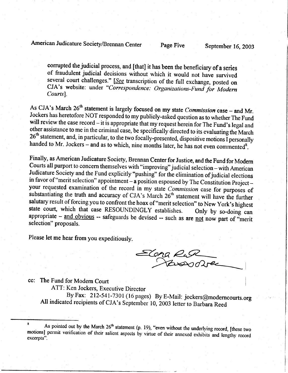corrupted the judicial process, and [that] it has been the beneficiary of a series of fraudulent judicial decisions without which it would not have survived several court challenges." [See transcription of the full exchange, posted on CJA's website: under "Correspondence: Organizations-Fund for Modern Courtsl.

As CJA's March 26<sup>th</sup> statement is largely focused on my state *Commission* case – and Mr.<br>Jockers has heretofore NOT responded to my publicly-asked question as to whether The Fund<br>will review the case record – it is appr  $26<sup>th</sup>$  statement, and, in particular, to the two focally-presented, dispositive motions I personally handed to Mr. Jockers - and as to which, nine months later, he has not even commented<sup>8</sup>.

Finally, as American Judicature Society, Brennan Center for Justice, and the Fund for Modern Courts all purport to concern themselves with "improving" judicial selection-withAmerican Judicature Society and the Fund explicitly "pushing" for the elimination of judicial elections in favor of "merit selection" appointment - a position espoused by The Constitution Project-your requested examination of the r substantiating the truth and accuracy of CJA's March 26<sup>th</sup> statement will have the further<br>salutary result of forcing you to confront the hoax of "merit selection" to New York's highest<br>state court, which that case RESOUN selection" proposals.

Please let me hear from you expeditiously.

 $E$ Cong  $\epsilon$  $A$ 

cc: The Fund for Modern Court

ATT: Ken Jockers, Executive Director

By Fax: 212-541-7301 (16 pages) By E-Mail: jockers@moderncourts.org All indicated recipients of CJA's September 10, 2003 letter to Barbara Reed

<sup>&</sup>lt;sup>8</sup><br>As pointed out by the March  $26<sup>th</sup>$  statement (p. 19), "even without the underlying record, [these two<br>motions] permit verification of their selection cannot be seen to be a selected on the underlying record, [the motions] permit verification of their salient aspects by virtue of their annexed exhibits and lengthy record excerpts".